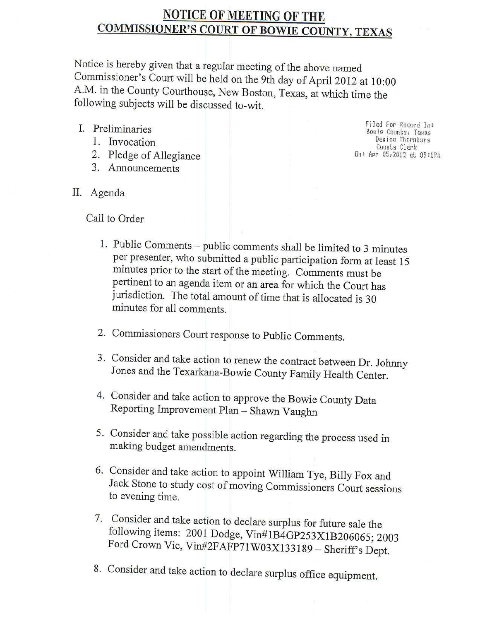# **NOTICE OF MEETING OF THE COMMISSIONER'S COURT OF BOWIE COUNTY, TEXAS**

Notice is hereby given that a regular meeting of the above named Commissioner's Court will be held on the 9th day of April 2012 at 10:00 A.M. in the County Courthouse, New Boston, Texas, at which time the following subjects will be discussed to-wit.

- I. Preliminaries
	- 1. Invocation
	- 2. Pledge of Allegiance
	- 3. Announcements

Filed For Record In: Bowie Counts: Texas Demise Thornburs Counts Clerk On: Apr 05,2012 at 09:19A

II. Agenda

Call to Order

- 1. Public Comments public comments shall be limited to 3 minutes per presenter, who submitted a public participation form at least 15 minutes prior to the start of the meeting. Comments must be pertinent to an agenda item or an area for which the Court has jurisdiction. The total amount of time that is allocated is 30 minutes for all comments.
- 2. Commissioners Court response to Public Comments.
- 3. Consider and take action to renew the contract between Dr. Johnny Jones and the Texarkana-Bowie County Family Health Center.
- 4. Consider and take action to approve the Bowie County Data Reporting Improvement Plan - Shawn Vaughn
- 5. Consider and take possible action regarding the process used in making budget amendments.
- 6. Consider and take action to appoint William Tye, Billy Fox and Jack Stone to study cost of moving Commissioners Court sessions to evening time.
- 7. Consider and take action to declare surplus for future sale the following items: 2001 Dodge, Vin#1B4GP253X1B206065; 2003 Ford Crown Vic, Vin#2FAFP71W03X133189 - Sheriff's Dept.
- 8. Consider and take action to declare surplus office equipment.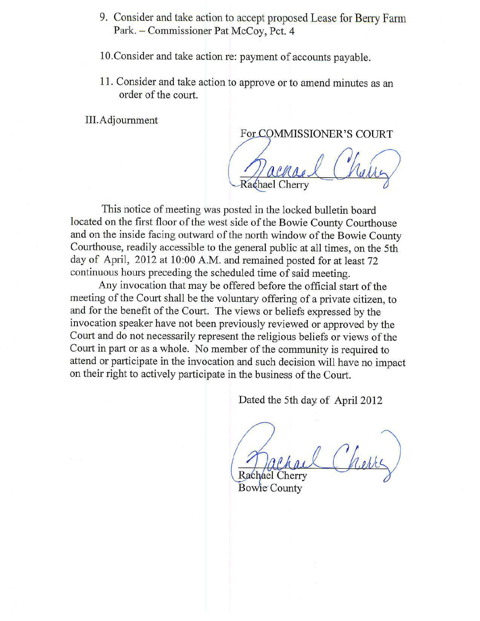- 9. Consider and take action to accept proposed Lease for Berry Farm Park. - Commissioner Pat McCoy, Pct. 4
- 10. Consider and take action re: payment of accounts payable.
- 11. Consider and take action to approve or to amend minutes as an order of the court.

III.Adjournment

For COMMISSIONER'S COURT

Rachael Cherry

This notice of meeting was posted in the locked bulletin board located on the first floor of the west side of the Bowie County Courthouse and on the inside facing outward of the north window of the Bowie County Courthouse, readily accessible to the general public at all times, on the 5th day of April, 2012 at 10:00 A.M. and remained posted for at least 72 continuous hours preceding the scheduled time of said meeting.

Any invocation that may be offered before the official start of the meeting of the Court shall be the voluntary offering of a private citizen, to and for the benefit of the Court. The views or beliefs expressed by the invocation speaker have not been previously reviewed or approved by the Court and do not necessarily represent the religious beliefs or views of the Court in part or as a whole. No member of the community is required to attend or participate in the invocation and such decision will have no impact on their right to actively participate in the business of the Court.

Dated the 5th day of April 2012

Rachael Cherry

**Bowle County**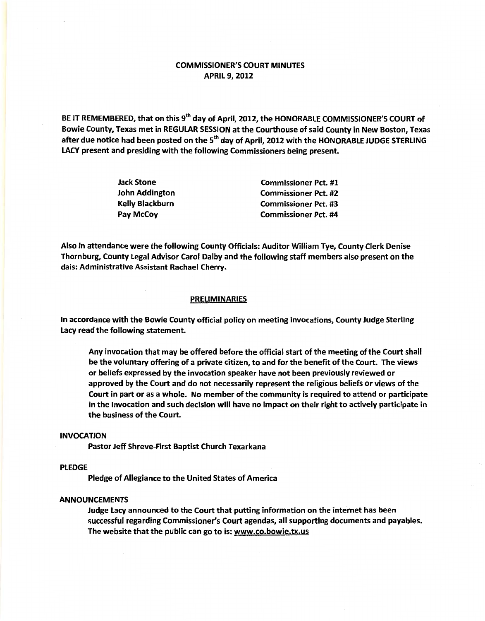# COMMISSIONER'S COURT MINUTES APRIL 9, 2012

BE IT REMEMBERED, that on this 9<sup>th</sup> day of April, 2012, the HONORABLE COMMISSIONER'S COURT of Bowie County, Texas met in REGULAR SESSION at the Courthouse of said County in New Boston, Texas after due notice had been posted on the 5<sup>th</sup> day of April, 2012 with the HONORABLE JUDGE STERLING LACY present and presiding with the following Commissioners being present.

| <b>Jack Stone</b>      | <b>Commissioner Pct. #1</b> |
|------------------------|-----------------------------|
| John Addington         | <b>Commissioner Pct. #2</b> |
| <b>Kelly Blackburn</b> | <b>Commissioner Pct. #3</b> |
| Pay McCoy              | <b>Commissioner Pct. #4</b> |

Also in attendance were the following County Officials: Auditor William Tye, County Clerk Denise Thornburg, County Legal Advisor Carol Dalby and the following staff members also present on the dais: Administrative Assistant Rachael Cherry.

### PRELIMINARIES

In accordance with the Bowie County official policy on meeting invocations, County Judge Sterling Lacy read the following statement.

Any invocation that may be offered before the official start of the meeting of the Court shall be the voluntary offering of a private citizen, to and for the benefit of the Court. The views or beliefs expressed by the invocation speaker have not been previously reviewed or approved by the Court and do not necessarily represent the religious beliefs or views of the Court in part or as a whole. No member of the community is required to attend or participate in the Invocation and such decision will have no impact on their right to actively participate in the business of the Court.

## INVOCATION

Pastor Jeff Shreve-First Baptist Church Texarkana

## PLEDGE

Pledge of Allegiance to the United States of America

### ANNOUNCEMENTS

Judge Lacy announced to the Court that putting information on the internet has been successful regarding Commissioner's Court agendas, all supporting documents and payables. The website that the public can go to is: www.co.bowie.tx.us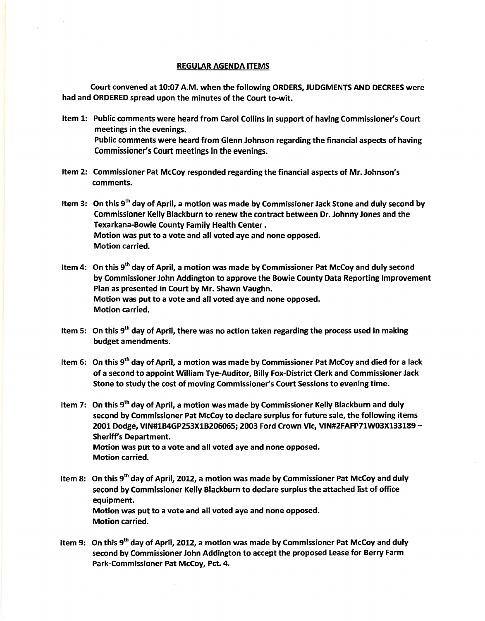#### REGULAR AGENDA ITEMS

Court convened at 10:07 A.M. when the following ORDERS, JUDGMENTS AND DECREES were had and ORDERED spread upon the minutes of the Court to-wit.

- Item 1: Public comments were heard from Carol Collins in support of having Commissioner's Court meetings in the evenings. Public comments were heard from Glenn Johnson regarding the financial aspects of having Commissioner's Court meetings in the evenings.
- Item 2: Commissioner Pat McCoy responded regarding the financial aspects of Mr. Johnson's comments.
- Item 3: On this  $9<sup>th</sup>$  day of April, a motion was made by Commissioner Jack Stone and duly second by Commissioner Kelly Blackburn to renew the contract between Dr. Johnny Jones and the Texarkana-Bowie County Family Health Center . Motion was put to a vote and all voted aye and none opposed. Motion carried.
- Item 4: On this  $9<sup>th</sup>$  day of April, a motion was made by Commissioner Pat McCoy and duly second by Commissioner John Addington to approve the Bowie County Data Reporting Improvement Plan as presented in Court by Mr. Shawn Vaughn. Motion was put to a vote and all voted aye and none opposed. Motion carried.
- Item 5: On this  $9<sup>th</sup>$  day of April, there was no action taken regarding the process used in making budget amendments.
- Item 6: On this 9<sup>th</sup> day of April, a motion was made by Commissioner Pat McCoy and died for a lack of a second to appoint William Tye-Auditor, Billy Fox-District Clerk and Commissioner Jack Stone to study the cost of moving Commissioner's Court Sessions to evening time.
- Item 7: On this 9<sup>th</sup> day of April, a motion was made by Commissioner Kelly Blackburn and duly second by Commissioner Pat McCoy to declare surplus for future sale, the following items 2001 Dodge, VIN#1B4GP253X1B206065; 2003 Ford Crown Vic, VIN#2FAFP71W03X133189- Sheriff's Department. Motion was put to a vote and all voted aye and none opposed. Motion carried.
- Item 8: On this 9<sup>th</sup> day of April, 2012, a motion was made by Commissioner Pat McCoy and duly second by Commissioner Kelly Blackburn to declare surplus the attached list of office equipment. Motion was put to a vote and all voted aye and none opposed. Motion carried.
- Item 9: On this 9<sup>th</sup> day of April, 2012, a motion was made by Commissioner Pat McCoy and duly second by Commissioner John Addington to accept the proposed Lease for Berry Farm Park-Commissioner Pat McCoy, Pet. 4.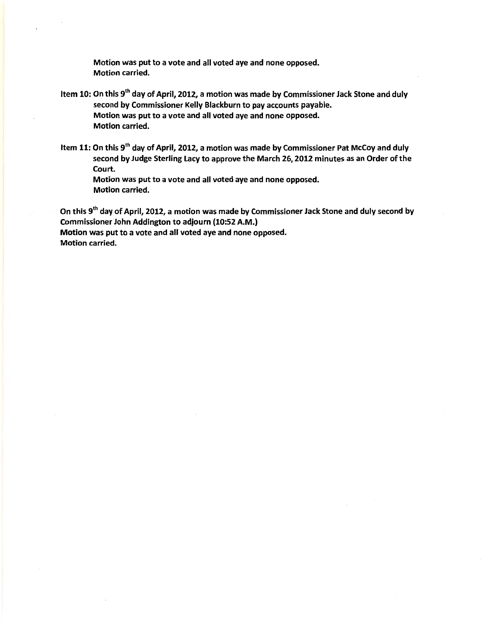Motion was put to a vote and all voted aye and none opposed. Motion carried.

- Item 10: On this 9<sup>th</sup> day of April, 2012, a motion was made by Commissioner Jack Stone and duly second by Commissioner Kelly Blackburn to pay accounts payable. Motion was put to a vote and all voted aye and none opposed. Motion carried.
- Item 11: On this 9<sup>th</sup> day of April, 2012, a motion was made by Commissioner Pat McCoy and duly second by Judge Sterling Lacy to approve the March 26, 2012 minutes as an Order of the Court.

Motion was put to a vote and all voted aye and none opposed. Motion carried.

On this 9<sup>th</sup> day of April, 2012, a motion was made by Commissioner Jack Stone and duly second by Commissioner John Addington to adjourn {10:52 A.M.) Motion was put to a vote and all voted aye and none opposed. Motion carried.